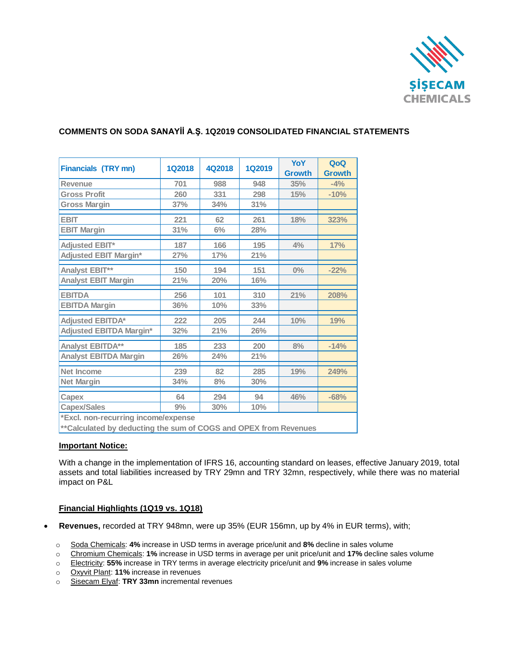

## **COMMENTS ON SODA SANAYİİ A.Ş. 1Q2019 CONSOLIDATED FINANCIAL STATEMENTS**

| <b>Financials (TRY mn)</b>                                        | <b>1Q2018</b> | 4Q2018 | <b>1Q2019</b> | <b>YoY</b>    | QoQ           |
|-------------------------------------------------------------------|---------------|--------|---------------|---------------|---------------|
|                                                                   |               |        |               | <b>Growth</b> | <b>Growth</b> |
| Revenue                                                           | 701           | 988    | 948           | 35%           | $-4%$         |
| <b>Gross Profit</b>                                               | 260           | 331    | 298           | 15%           | $-10%$        |
| <b>Gross Margin</b>                                               | 37%           | 34%    | 31%           |               |               |
| <b>EBIT</b>                                                       | 221           | 62     | 261           | 18%           | 323%          |
| <b>EBIT Margin</b>                                                | 31%           | 6%     | 28%           |               |               |
| <b>Adjusted EBIT*</b>                                             | 187           | 166    | 195           | 4%            | 17%           |
| <b>Adjusted EBIT Margin*</b>                                      | 27%           | 17%    | 21%           |               |               |
| Analyst EBIT**                                                    | 150           | 194    | 151           | $0\%$         | $-22%$        |
| <b>Analyst EBIT Margin</b>                                        | 21%           | 20%    | 16%           |               |               |
| <b>EBITDA</b>                                                     | 256           | 101    | 310           | 21%           | 208%          |
| <b>EBITDA Margin</b>                                              | 36%           | 10%    | 33%           |               |               |
| <b>Adjusted EBITDA*</b>                                           | 222           | 205    | 244           | 10%           | 19%           |
| <b>Adjusted EBITDA Margin*</b>                                    | 32%           | 21%    | 26%           |               |               |
| Analyst EBITDA**                                                  | 185           | 233    | 200           | 8%            | $-14%$        |
| <b>Analyst EBITDA Margin</b>                                      | 26%           | 24%    | 21%           |               |               |
| <b>Net Income</b>                                                 | 239           | 82     | 285           | 19%           | 249%          |
| <b>Net Margin</b>                                                 | 34%           | 8%     | 30%           |               |               |
| Capex                                                             | 64            | 294    | 94            | 46%           | $-68%$        |
| <b>Capex/Sales</b>                                                | 9%            | 30%    | 10%           |               |               |
| *Excl. non-recurring income/expense                               |               |        |               |               |               |
| ** Calculated by deducting the sum of COGS and OPEX from Revenues |               |        |               |               |               |

#### **Important Notice:**

With a change in the implementation of IFRS 16, accounting standard on leases, effective January 2019, total assets and total liabilities increased by TRY 29mn and TRY 32mn, respectively, while there was no material impact on P&L

#### **Financial Highlights (1Q19 vs. 1Q18)**

- **Revenues,** recorded at TRY 948mn, were up 35% (EUR 156mn, up by 4% in EUR terms), with;
	- o Soda Chemicals: **4%** increase in USD terms in average price/unit and **8%** decline in sales volume
	- o Chromium Chemicals: **1%** increase in USD terms in average per unit price/unit and **17%** decline sales volume
	- o Electricity: **55%** increase in TRY terms in average electricity price/unit and **9%** increase in sales volume
	- o Oxyvit Plant: **11%** increase in revenues
	- o Sisecam Elyaf: **TRY 33mn** incremental revenues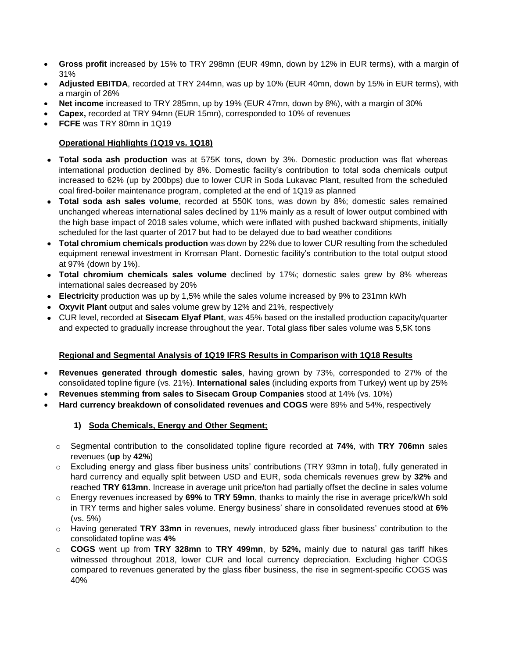- **Gross profit** increased by 15% to TRY 298mn (EUR 49mn, down by 12% in EUR terms), with a margin of 31%
- **Adjusted EBITDA**, recorded at TRY 244mn, was up by 10% (EUR 40mn, down by 15% in EUR terms), with a margin of 26%
- **Net income** increased to TRY 285mn, up by 19% (EUR 47mn, down by 8%), with a margin of 30%
- **Capex,** recorded at TRY 94mn (EUR 15mn), corresponded to 10% of revenues
- **FCFE** was TRY 80mn in 1Q19

## **Operational Highlights (1Q19 vs. 1Q18)**

- **Total soda ash production** was at 575K tons, down by 3%. Domestic production was flat whereas international production declined by 8%. Domestic facility's contribution to total soda chemicals output increased to 62% (up by 200bps) due to lower CUR in Soda Lukavac Plant, resulted from the scheduled coal fired-boiler maintenance program, completed at the end of 1Q19 as planned
- **Total soda ash sales volume**, recorded at 550K tons, was down by 8%; domestic sales remained unchanged whereas international sales declined by 11% mainly as a result of lower output combined with the high base impact of 2018 sales volume, which were inflated with pushed backward shipments, initially scheduled for the last quarter of 2017 but had to be delayed due to bad weather conditions
- **Total chromium chemicals production** was down by 22% due to lower CUR resulting from the scheduled equipment renewal investment in Kromsan Plant. Domestic facility's contribution to the total output stood at 97% (down by 1%).
- **Total chromium chemicals sales volume** declined by 17%; domestic sales grew by 8% whereas international sales decreased by 20%
- **Electricity** production was up by 1,5% while the sales volume increased by 9% to 231mn kWh
- **Oxyvit Plant** output and sales volume grew by 12% and 21%, respectively
- CUR level, recorded at **Sisecam Elyaf Plant**, was 45% based on the installed production capacity/quarter and expected to gradually increase throughout the year. Total glass fiber sales volume was 5,5K tons

#### **Regional and Segmental Analysis of 1Q19 IFRS Results in Comparison with 1Q18 Results**

- **Revenues generated through domestic sales**, having grown by 73%, corresponded to 27% of the consolidated topline figure (vs. 21%). **International sales** (including exports from Turkey) went up by 25%
- **Revenues stemming from sales to Sisecam Group Companies** stood at 14% (vs. 10%)
- **Hard currency breakdown of consolidated revenues and COGS** were 89% and 54%, respectively

## **1) Soda Chemicals, Energy and Other Segment;**

- o Segmental contribution to the consolidated topline figure recorded at **74%**, with **TRY 706mn** sales revenues (**up** by **42%**)
- o Excluding energy and glass fiber business units' contributions (TRY 93mn in total), fully generated in hard currency and equally split between USD and EUR, soda chemicals revenues grew by **32%** and reached **TRY 613mn**. Increase in average unit price/ton had partially offset the decline in sales volume
- o Energy revenues increased by **69%** to **TRY 59mn**, thanks to mainly the rise in average price/kWh sold in TRY terms and higher sales volume. Energy business' share in consolidated revenues stood at **6%**  (vs. 5%)
- o Having generated **TRY 33mn** in revenues, newly introduced glass fiber business' contribution to the consolidated topline was **4%**
- o **COGS** went up from **TRY 328mn** to **TRY 499mn**, by **52%,** mainly due to natural gas tariff hikes witnessed throughout 2018, lower CUR and local currency depreciation. Excluding higher COGS compared to revenues generated by the glass fiber business, the rise in segment-specific COGS was 40%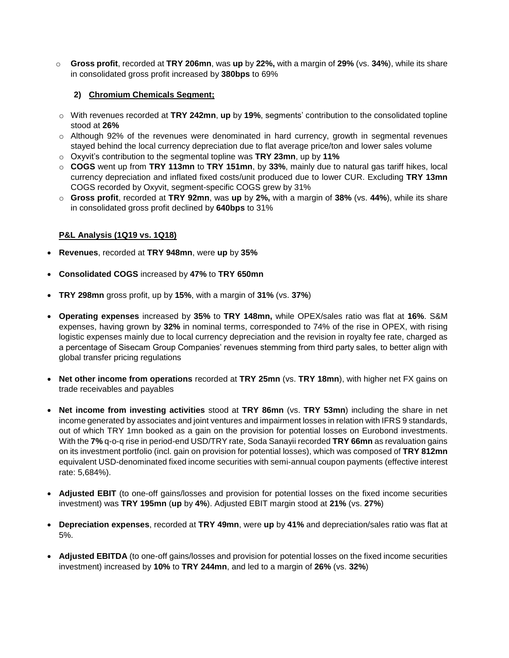o **Gross profit**, recorded at **TRY 206mn**, was **up** by **22%,** with a margin of **29%** (vs. **34%**), while its share in consolidated gross profit increased by **380bps** to 69%

#### **2) Chromium Chemicals Segment;**

- o With revenues recorded at **TRY 242mn**, **up** by **19%**, segments' contribution to the consolidated topline stood at **26%**
- o Although 92% of the revenues were denominated in hard currency, growth in segmental revenues stayed behind the local currency depreciation due to flat average price/ton and lower sales volume
- o Oxyvit's contribution to the segmental topline was **TRY 23mn**, up by **11%**
- o **COGS** went up from **TRY 113mn** to **TRY 151mn**, by **33%**, mainly due to natural gas tariff hikes, local currency depreciation and inflated fixed costs/unit produced due to lower CUR. Excluding **TRY 13mn** COGS recorded by Oxyvit, segment-specific COGS grew by 31%
- o **Gross profit**, recorded at **TRY 92mn**, was **up** by **2%,** with a margin of **38%** (vs. **44%**), while its share in consolidated gross profit declined by **640bps** to 31%

## **P&L Analysis (1Q19 vs. 1Q18)**

- **Revenues**, recorded at **TRY 948mn**, were **up** by **35%**
- **Consolidated COGS** increased by **47%** to **TRY 650mn**
- **TRY 298mn** gross profit, up by **15%**, with a margin of **31%** (vs. **37%**)
- **Operating expenses** increased by **35%** to **TRY 148mn,** while OPEX/sales ratio was flat at **16%**. S&M expenses, having grown by **32%** in nominal terms, corresponded to 74% of the rise in OPEX, with rising logistic expenses mainly due to local currency depreciation and the revision in royalty fee rate, charged as a percentage of Sisecam Group Companies' revenues stemming from third party sales, to better align with global transfer pricing regulations
- **Net other income from operations** recorded at **TRY 25mn** (vs. **TRY 18mn**), with higher net FX gains on trade receivables and payables
- **Net income from investing activities** stood at **TRY 86mn** (vs. **TRY 53mn**) including the share in net income generated by associates and joint ventures and impairment losses in relation with IFRS 9 standards, out of which TRY 1mn booked as a gain on the provision for potential losses on Eurobond investments. With the **7%** q-o-q rise in period-end USD/TRY rate, Soda Sanayii recorded **TRY 66mn** as revaluation gains on its investment portfolio (incl. gain on provision for potential losses), which was composed of **TRY 812mn**  equivalent USD-denominated fixed income securities with semi-annual coupon payments (effective interest rate: 5,684%).
- **Adjusted EBIT** (to one-off gains/losses and provision for potential losses on the fixed income securities investment) was **TRY 195mn** (**up** by **4%**). Adjusted EBIT margin stood at **21%** (vs. **27%**)
- **Depreciation expenses**, recorded at **TRY 49mn**, were **up** by **41%** and depreciation/sales ratio was flat at 5%.
- **Adjusted EBITDA** (to one-off gains/losses and provision for potential losses on the fixed income securities investment) increased by **10%** to **TRY 244mn**, and led to a margin of **26%** (vs. **32%**)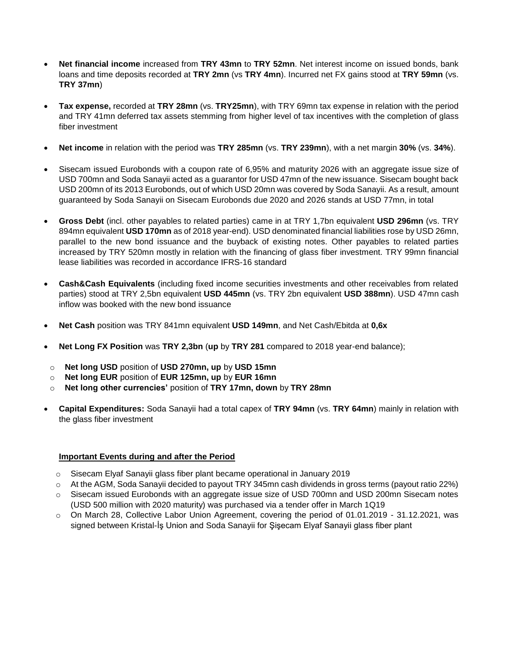- **Net financial income** increased from **TRY 43mn** to **TRY 52mn**. Net interest income on issued bonds, bank loans and time deposits recorded at **TRY 2mn** (vs **TRY 4mn**). Incurred net FX gains stood at **TRY 59mn** (vs. **TRY 37mn**)
- **Tax expense,** recorded at **TRY 28mn** (vs. **TRY25mn**), with TRY 69mn tax expense in relation with the period and TRY 41mn deferred tax assets stemming from higher level of tax incentives with the completion of glass fiber investment
- **Net income** in relation with the period was **TRY 285mn** (vs. **TRY 239mn**), with a net margin **30%** (vs. **34%**).
- Sisecam issued Eurobonds with a coupon rate of 6,95% and maturity 2026 with an aggregate issue size of USD 700mn and Soda Sanayii acted as a guarantor for USD 47mn of the new issuance. Sisecam bought back USD 200mn of its 2013 Eurobonds, out of which USD 20mn was covered by Soda Sanayii. As a result, amount guaranteed by Soda Sanayii on Sisecam Eurobonds due 2020 and 2026 stands at USD 77mn, in total
- **Gross Debt** (incl. other payables to related parties) came in at TRY 1,7bn equivalent **USD 296mn** (vs. TRY 894mn equivalent **USD 170mn** as of 2018 year-end). USD denominated financial liabilities rose by USD 26mn, parallel to the new bond issuance and the buyback of existing notes. Other payables to related parties increased by TRY 520mn mostly in relation with the financing of glass fiber investment. TRY 99mn financial lease liabilities was recorded in accordance IFRS-16 standard
- **Cash&Cash Equivalents** (including fixed income securities investments and other receivables from related parties) stood at TRY 2,5bn equivalent **USD 445mn** (vs. TRY 2bn equivalent **USD 388mn**). USD 47mn cash inflow was booked with the new bond issuance
- **Net Cash** position was TRY 841mn equivalent **USD 149mn**, and Net Cash/Ebitda at **0,6x**
- **Net Long FX Position** was **TRY 2,3bn** (**up** by **TRY 281** compared to 2018 year-end balance);
- o **Net long USD** position of **USD 270mn, up** by **USD 15mn**
- o **Net long EUR** position of **EUR 125mn, up** by **EUR 16mn**
- o **Net long other currencies'** position of **TRY 17mn, down** by **TRY 28mn**
- **Capital Expenditures:** Soda Sanayii had a total capex of **TRY 94mn** (vs. **TRY 64mn**) mainly in relation with the glass fiber investment

#### **Important Events during and after the Period**

- o Sisecam Elyaf Sanayii glass fiber plant became operational in January 2019
- $\circ$  At the AGM, Soda Sanayii decided to payout TRY 345mn cash dividends in gross terms (payout ratio 22%)
- $\circ$  Sisecam issued Eurobonds with an aggregate issue size of USD 700mn and USD 200mn Sisecam notes (USD 500 million with 2020 maturity) was purchased via a tender offer in March 1Q19
- $\circ$  On March 28, Collective Labor Union Agreement, covering the period of 01.01.2019 31.12.2021, was signed between Kristal-İş Union and Soda Sanayii for Şişecam Elyaf Sanayii glass fiber plant